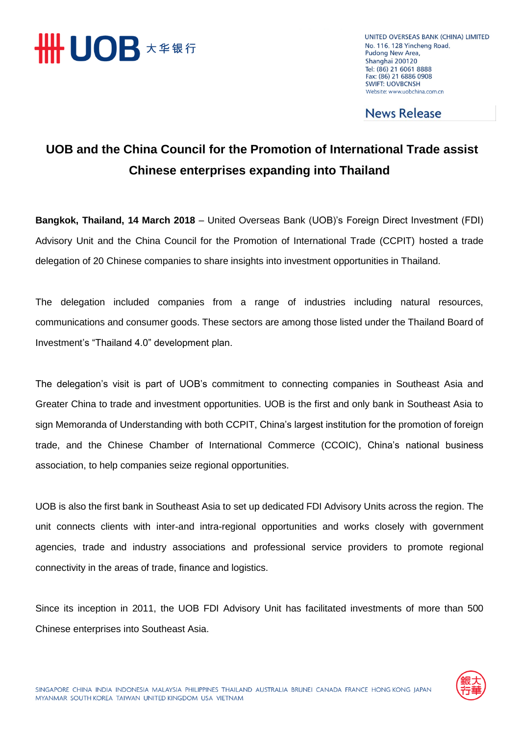

UNITED OVERSEAS BANK (CHINA) LIMITED No. 116, 128 Yincheng Road, Pudong New Area, Shanghai 200120 Tel: (86) 21 6061 8888 Fax: (86) 21 6886 0908 **SWIFT: UOVBCNSH** Website: www.uobchina.com.cn

**News Release** 

## **UOB and the China Council for the Promotion of International Trade assist Chinese enterprises expanding into Thailand**

**Bangkok, Thailand, 14 March 2018** – United Overseas Bank (UOB)'s Foreign Direct Investment (FDI) Advisory Unit and the China Council for the Promotion of International Trade (CCPIT) hosted a trade delegation of 20 Chinese companies to share insights into investment opportunities in Thailand.

The delegation included companies from a range of industries including natural resources, communications and consumer goods. These sectors are among those listed under the Thailand Board of Investment's "Thailand 4.0" development plan.

The delegation's visit is part of UOB's commitment to connecting companies in Southeast Asia and Greater China to trade and investment opportunities. UOB is the first and only bank in Southeast Asia to sign Memoranda of Understanding with both CCPIT, China's largest institution for the promotion of foreign trade, and the Chinese Chamber of International Commerce (CCOIC), China's national business association, to help companies seize regional opportunities.

UOB is also the first bank in Southeast Asia to set up dedicated FDI Advisory Units across the region. The unit connects clients with inter-and intra-regional opportunities and works closely with government agencies, trade and industry associations and professional service providers to promote regional connectivity in the areas of trade, finance and logistics.

Since its inception in 2011, the UOB FDI Advisory Unit has facilitated investments of more than 500 Chinese enterprises into Southeast Asia.

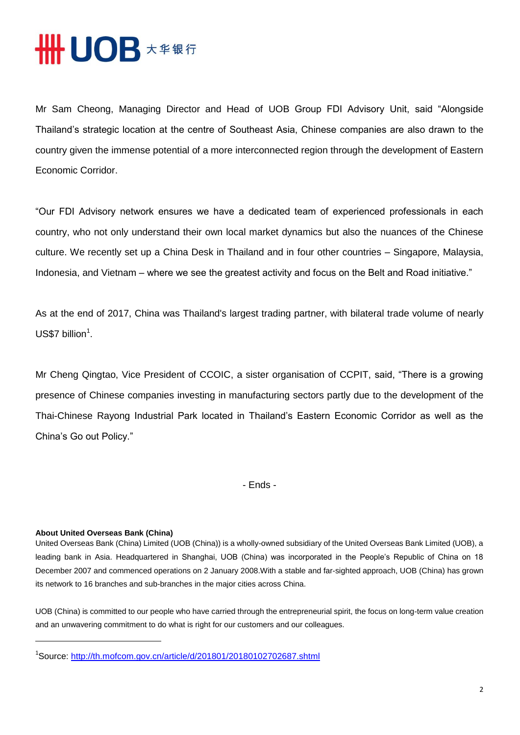

Mr Sam Cheong, Managing Director and Head of UOB Group FDI Advisory Unit, said "Alongside Thailand's strategic location at the centre of Southeast Asia, Chinese companies are also drawn to the country given the immense potential of a more interconnected region through the development of Eastern Economic Corridor.

"Our FDI Advisory network ensures we have a dedicated team of experienced professionals in each country, who not only understand their own local market dynamics but also the nuances of the Chinese culture. We recently set up a China Desk in Thailand and in four other countries – Singapore, Malaysia, Indonesia, and Vietnam – where we see the greatest activity and focus on the Belt and Road initiative."

As at the end of 2017, China was Thailand's largest trading partner, with bilateral trade volume of nearly  $US$7$  billion<sup>1</sup>.

Mr Cheng Qingtao, Vice President of CCOIC, a sister organisation of CCPIT, said, "There is a growing presence of Chinese companies investing in manufacturing sectors partly due to the development of the Thai-Chinese Rayong Industrial Park located in Thailand's Eastern Economic Corridor as well as the China's Go out Policy."

- Ends -

## **About United Overseas Bank (China)**

United Overseas Bank (China) Limited (UOB (China)) is a wholly-owned subsidiary of the United Overseas Bank Limited (UOB), a leading bank in Asia. Headquartered in Shanghai, UOB (China) was incorporated in the People's Republic of China on 18 December 2007 and commenced operations on 2 January 2008.With a stable and far-sighted approach, UOB (China) has grown its network to 16 branches and sub-branches in the major cities across China.

UOB (China) is committed to our people who have carried through the entrepreneurial spirit, the focus on long-term value creation and an unwavering commitment to do what is right for our customers and our colleagues.

<sup>&</sup>lt;sup>1</sup>Source: <u>http://th.mofcom.gov.cn/article/d/201801/20180102702687.shtml</u>